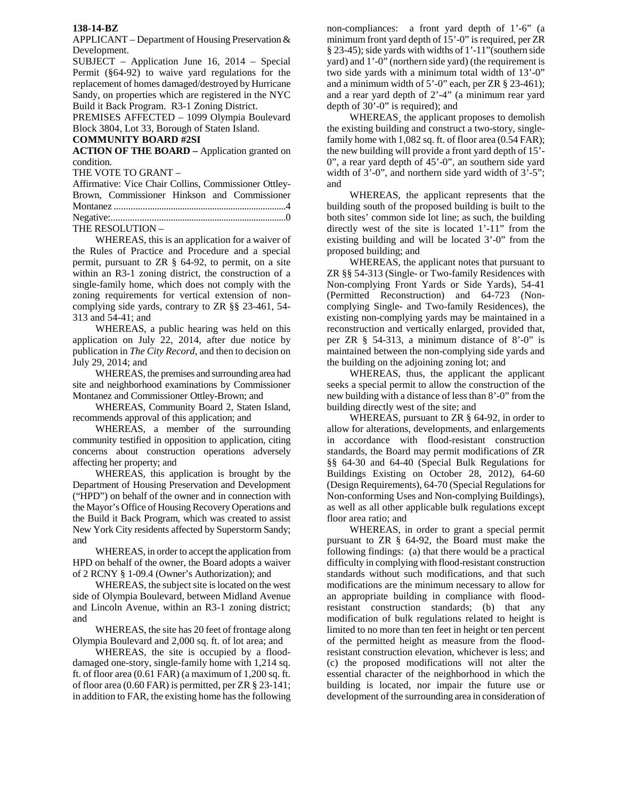## **138-14-BZ**

APPLICANT – Department of Housing Preservation & Development.

SUBJECT – Application June 16, 2014 – Special Permit (§64-92) to waive yard regulations for the replacement of homes damaged/destroyed by Hurricane Sandy, on properties which are registered in the NYC Build it Back Program. R3-1 Zoning District.

PREMISES AFFECTED – 1099 Olympia Boulevard Block 3804, Lot 33, Borough of Staten Island.

## **COMMUNITY BOARD #2SI**

**ACTION OF THE BOARD –** Application granted on condition.

THE VOTE TO GRANT –

| Affirmative: Vice Chair Collins, Commissioner Ottlev- |  |  |
|-------------------------------------------------------|--|--|
| Brown, Commissioner Hinkson and Commissioner          |  |  |
|                                                       |  |  |
|                                                       |  |  |
| THE RESOLUTION -                                      |  |  |

 WHEREAS, this is an application for a waiver of the Rules of Practice and Procedure and a special permit, pursuant to ZR § 64-92, to permit, on a site within an R3-1 zoning district, the construction of a single-family home, which does not comply with the zoning requirements for vertical extension of noncomplying side yards, contrary to ZR §§ 23-461, 54- 313 and 54-41; and

WHEREAS, a public hearing was held on this application on July 22, 2014, after due notice by publication in *The City Record*, and then to decision on July 29, 2014; and

WHEREAS, the premises and surrounding area had site and neighborhood examinations by Commissioner Montanez and Commissioner Ottley-Brown; and

WHEREAS, Community Board 2, Staten Island, recommends approval of this application; and

WHEREAS, a member of the surrounding community testified in opposition to application, citing concerns about construction operations adversely affecting her property; and

WHEREAS, this application is brought by the Department of Housing Preservation and Development ("HPD") on behalf of the owner and in connection with the Mayor's Office of Housing Recovery Operations and the Build it Back Program, which was created to assist New York City residents affected by Superstorm Sandy; and

WHEREAS, in order to accept the application from HPD on behalf of the owner, the Board adopts a waiver of 2 RCNY § 1-09.4 (Owner's Authorization); and

WHEREAS, the subject site is located on the west side of Olympia Boulevard, between Midland Avenue and Lincoln Avenue, within an R3-1 zoning district; and

WHEREAS, the site has 20 feet of frontage along Olympia Boulevard and 2,000 sq. ft. of lot area; and

WHEREAS, the site is occupied by a flooddamaged one-story, single-family home with 1,214 sq. ft. of floor area (0.61 FAR) (a maximum of 1,200 sq. ft. of floor area (0.60 FAR) is permitted, per ZR § 23-141; in addition to FAR, the existing home has the following non-compliances: a front yard depth of 1'-6" (a minimum front yard depth of 15'-0" is required, per ZR § 23-45); side yards with widths of 1'-11"(southern side yard) and 1'-0" (northern side yard) (the requirement is two side yards with a minimum total width of 13'-0" and a minimum width of 5'-0" each, per ZR § 23-461); and a rear yard depth of 2'-4" (a minimum rear yard depth of 30'-0" is required); and

WHEREAS¸ the applicant proposes to demolish the existing building and construct a two-story, singlefamily home with 1,082 sq. ft. of floor area (0.54 FAR); the new building will provide a front yard depth of 15'- 0", a rear yard depth of 45'-0", an southern side yard width of  $3'-0$ ", and northern side yard width of  $3'-5$ "; and

WHEREAS, the applicant represents that the building south of the proposed building is built to the both sites' common side lot line; as such, the building directly west of the site is located 1'-11" from the existing building and will be located 3'-0" from the proposed building; and

WHEREAS, the applicant notes that pursuant to ZR §§ 54-313 (Single- or Two-family Residences with Non-complying Front Yards or Side Yards), 54-41 (Permitted Reconstruction) and 64-723 (Noncomplying Single- and Two-family Residences), the existing non-complying yards may be maintained in a reconstruction and vertically enlarged, provided that, per ZR § 54-313, a minimum distance of 8'-0" is maintained between the non-complying side yards and the building on the adjoining zoning lot; and

WHEREAS, thus, the applicant the applicant seeks a special permit to allow the construction of the new building with a distance of less than 8'-0" from the building directly west of the site; and

WHEREAS, pursuant to ZR § 64-92, in order to allow for alterations, developments, and enlargements in accordance with flood-resistant construction standards, the Board may permit modifications of ZR §§ 64-30 and 64-40 (Special Bulk Regulations for Buildings Existing on October 28, 2012), 64-60 (Design Requirements), 64-70 (Special Regulations for Non-conforming Uses and Non-complying Buildings), as well as all other applicable bulk regulations except floor area ratio; and

WHEREAS, in order to grant a special permit pursuant to ZR § 64-92, the Board must make the following findings: (a) that there would be a practical difficulty in complying with flood-resistant construction standards without such modifications, and that such modifications are the minimum necessary to allow for an appropriate building in compliance with floodresistant construction standards; (b) that any modification of bulk regulations related to height is limited to no more than ten feet in height or ten percent of the permitted height as measure from the floodresistant construction elevation, whichever is less; and (c) the proposed modifications will not alter the essential character of the neighborhood in which the building is located, nor impair the future use or development of the surrounding area in consideration of